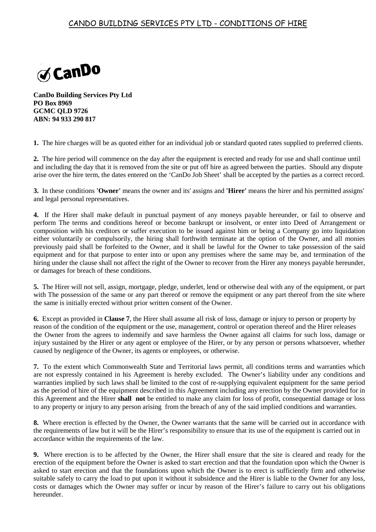## CANDO BUILDING SERVICES PTY LTD - CONDITIONS OF HIRE



**CanDo Building Services Pty Ltd PO Box 8969 GCMC QLD 9726 ABN: 94 933 290 817**

**1.** The hire charges will be as quoted either for an individual job or standard quoted rates supplied to preferred clients.

**2.** The hire period will commence on the day after the equipment is erected and ready for use and shall continue until and including the day that it is removed from the site or put off hire as agreed between the parties. Should any dispute arise over the hire term, the dates entered on the 'CanDo Job Sheet' shall be accepted by the parties as a correct record.

**3.** In these conditions **'Owner'** means the owner and its' assigns and **'Hirer'** means the hirer and his permitted assigns' and legal personal representatives.

**4.** If the Hirer shall make default in punctual payment of any moneys payable hereunder, or fail to observe and perform The terms and conditions hereof or become bankrupt or insolvent, or enter into Deed of Arrangement or composition with his creditors or suffer execution to be issued against him or being a Company go into liquidation either voluntarily or compulsorily, the hiring shall forthwith terminate at the option of the Owner, and all monies previously paid shall be forfeited to the Owner, and it shall be lawful for the Owner to take possession of the said equipment and for that purpose to enter into or upon any premises where the same may be, and termination of the hiring under the clause shall not affect the right of the Owner to recover from the Hirer any moneys payable hereunder, or damages for breach of these conditions.

**5.** The Hirer will not sell, assign, mortgage, pledge, underlet, lend or otherwise deal with any of the equipment, or part with The possession of the same or any part thereof or remove the equipment or any part thereof from the site where the same is initially erected without prior written consent of the Owner.

**6.** Except as provided in **Clause 7**, the Hirer shall assume all risk of loss, damage or injury to person or property by reason of the condition of the equipment or the use, management, control or operation thereof and the Hirer releases the Owner from the agrees to indemnify and save harmless the Owner against all claims for such loss, damage or injury sustained by the Hirer or any agent or employee of the Hirer, or by any person or persons whatsoever, whether caused by negligence of the Owner, its agents or employees, or otherwise.

**7.** To the extent which Commonwealth State and Territorial laws permit, all conditions terms and warranties which are not expressly contained in his Agreement is hereby excluded. The Owner's liability under any conditions and warranties implied by such laws shall be limited to the cost of re-supplying equivalent equipment for the same period as the period of hire of the equipment described in this Agreement including any erection by the Owner provided for in this Agreement and the Hirer **shall not** be entitled to make any claim for loss of profit, consequential damage or loss to any property or injury to any person arising from the breach of any of the said implied conditions and warranties.

**8.** Where erection is effected by the Owner, the Owner warrants that the same will be carried out in accordance with the requirements of law but it will be the Hirer's responsibility to ensure that its use of the equipment is carried out in accordance within the requirements of the law.

**9.** Where erection is to be affected by the Owner, the Hirer shall ensure that the site is cleared and ready for the erection of the equipment before the Owner is asked to start erection and that the foundation upon which the Owner is asked to start erection and that the foundations upon which the Owner is to erect is sufficiently firm and otherwise suitable safely to carry the load to put upon it without it subsidence and the Hirer is liable to the Owner for any loss, costs or damages which the Owner may suffer or incur by reason of the Hirer's failure to carry out his obligations hereunder.